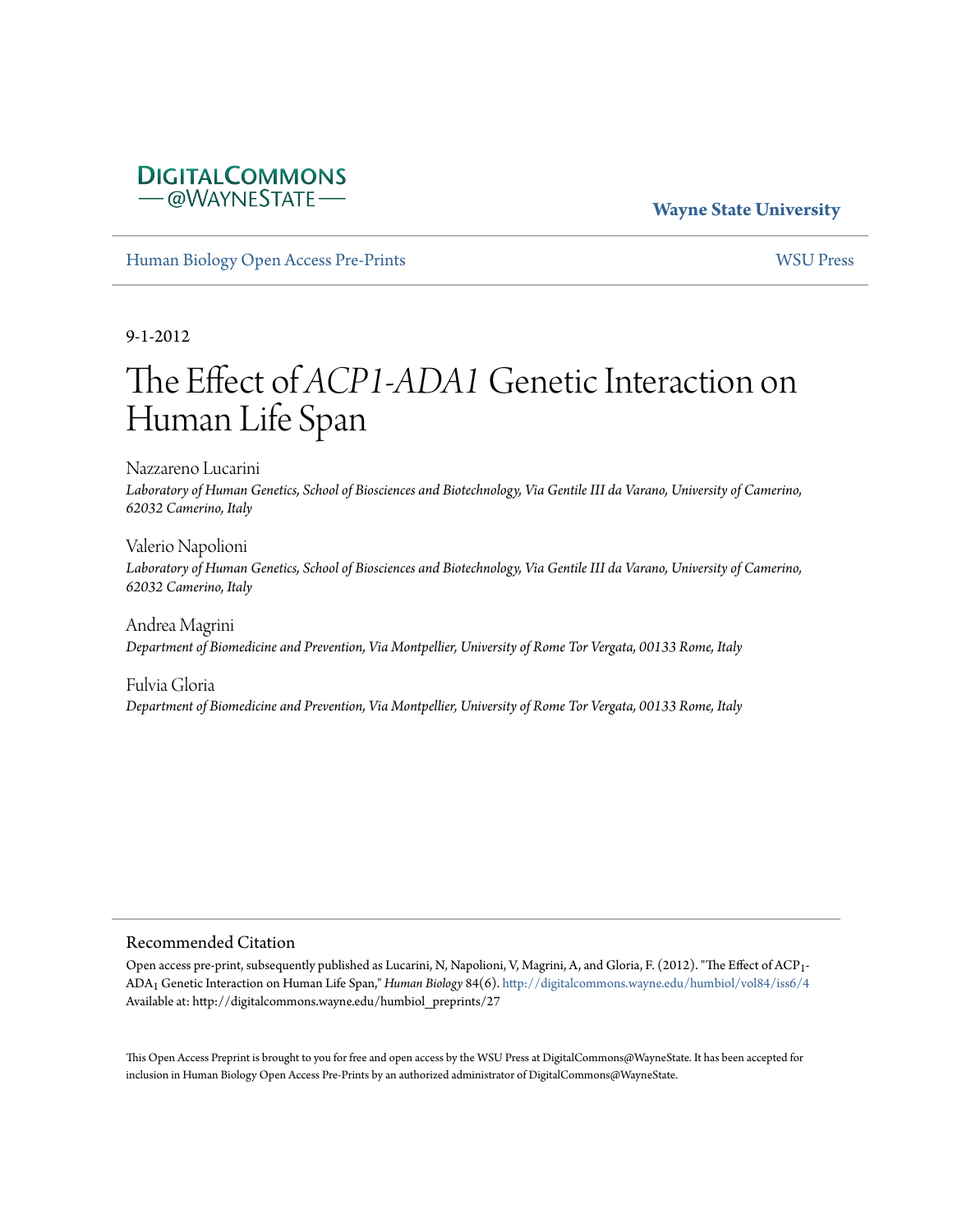# **Wayne State University**

[Human Biology Open Access Pre-Prints](http://digitalcommons.wayne.edu/humbiol_preprints) [WSU Press](http://digitalcommons.wayne.edu/wsupress)

**DIGITALCOMMONS** -@WAYNESTATE

9-1-2012

# The Effect of *ACP1-ADA1* Genetic Interaction on Human Life Span

Nazzareno Lucarini *Laboratory of Human Genetics, School of Biosciences and Biotechnology, Via Gentile III da Varano, University of Camerino, 62032 Camerino, Italy*

Valerio Napolioni *Laboratory of Human Genetics, School of Biosciences and Biotechnology, Via Gentile III da Varano, University of Camerino, 62032 Camerino, Italy*

Andrea Magrini *Department of Biomedicine and Prevention, Via Montpellier, University of Rome Tor Vergata, 00133 Rome, Italy*

Fulvia Gloria *Department of Biomedicine and Prevention, Via Montpellier, University of Rome Tor Vergata, 00133 Rome, Italy*

#### Recommended Citation

Open access pre-print, subsequently published as Lucarini, N, Napolioni, V, Magrini, A, and Gloria, F. (2012). "The Effect of ACP1- ADA1 Genetic Interaction on Human Life Span," *Human Biology* 84(6). <http://digitalcommons.wayne.edu/humbiol/vol84/iss6/4> Available at: http://digitalcommons.wayne.edu/humbiol\_preprints/27

This Open Access Preprint is brought to you for free and open access by the WSU Press at DigitalCommons@WayneState. It has been accepted for inclusion in Human Biology Open Access Pre-Prints by an authorized administrator of DigitalCommons@WayneState.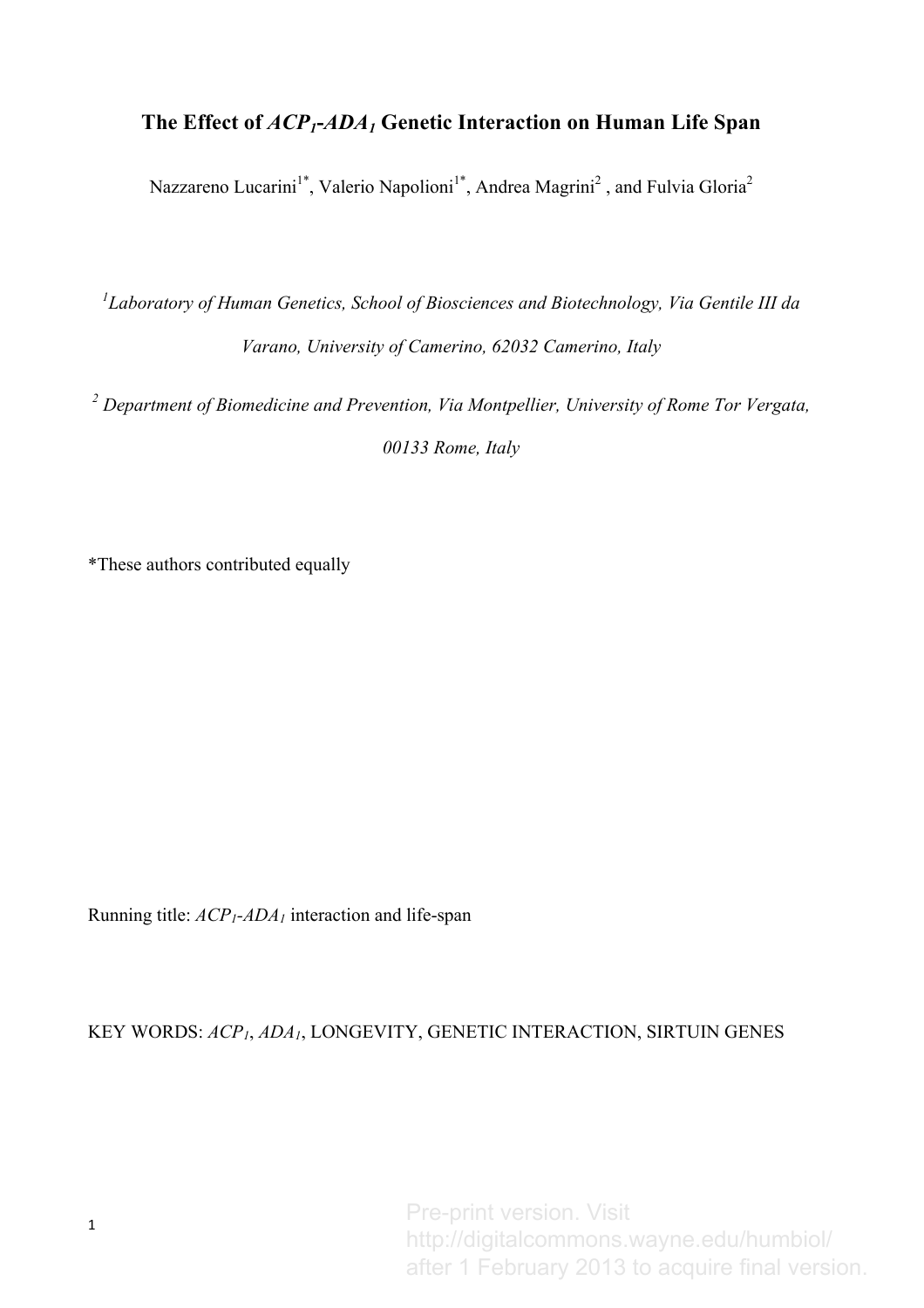# **The Effect of** *ACP1***-***ADA1* **Genetic Interaction on Human Life Span**

Nazzareno Lucarini<sup>1\*</sup>, Valerio Napolioni<sup>1\*</sup>, Andrea Magrini<sup>2</sup>, and Fulvia Gloria<sup>2</sup>

*1 Laboratory of Human Genetics, School of Biosciences and Biotechnology, Via Gentile III da Varano, University of Camerino, 62032 Camerino, Italy*

*<sup>2</sup> Department of Biomedicine and Prevention, Via Montpellier, University of Rome Tor Vergata,* 

*00133 Rome, Italy*

\*These authors contributed equally

Running title:  $ACP_1$ - $ADA_1$  interaction and life-span

# KEY WORDS: *ACP1*, *ADA1*, LONGEVITY, GENETIC INTERACTION, SIRTUIN GENES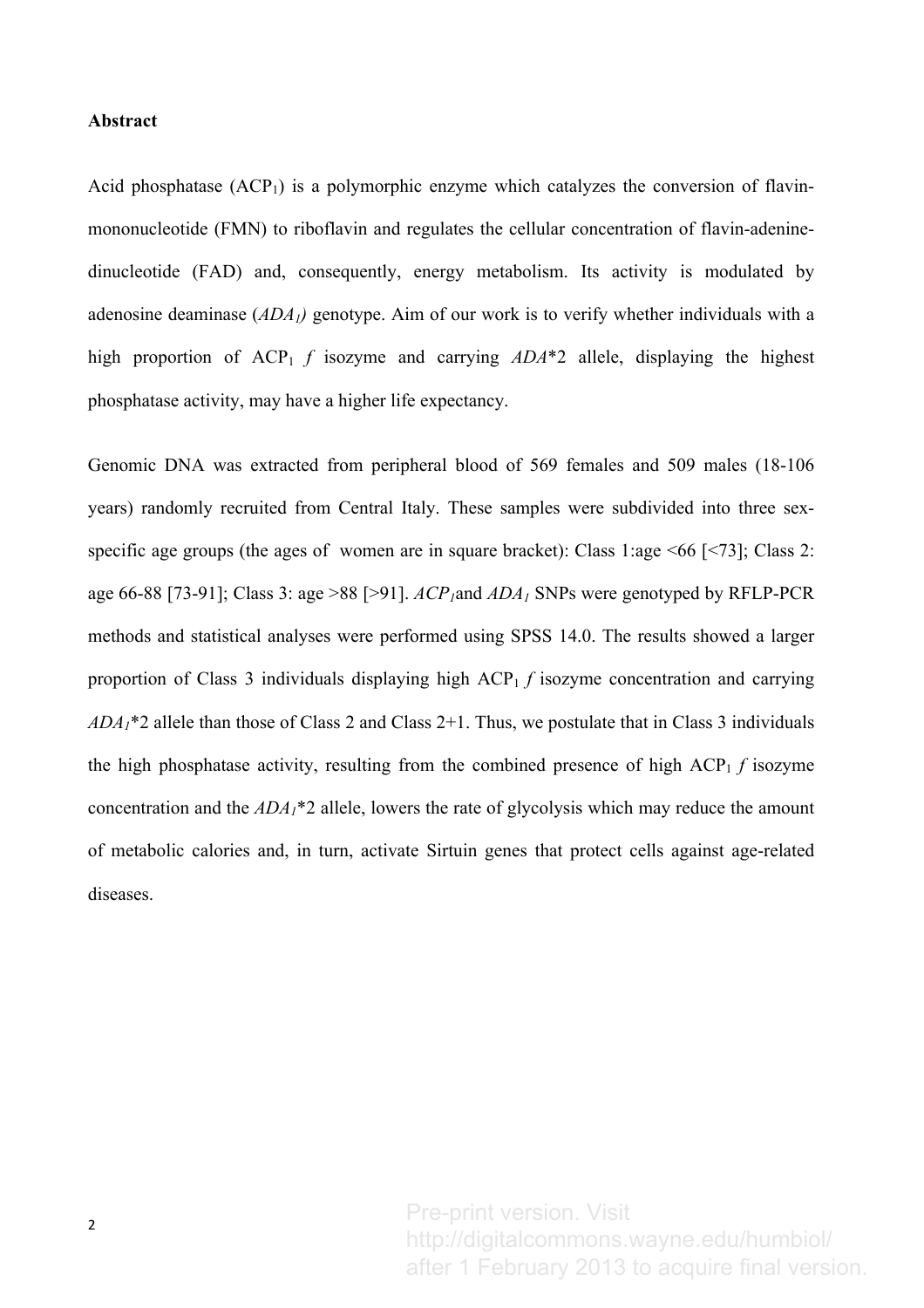## **Abstract**

Acid phosphatase  $(ACP_1)$  is a polymorphic enzyme which catalyzes the conversion of flavinmononucleotide (FMN) to riboflavin and regulates the cellular concentration of flavin-adeninedinucleotide (FAD) and, consequently, energy metabolism. Its activity is modulated by adenosine deaminase (*ADA1)* genotype. Aim of our work is to verify whether individuals with a high proportion of ACP<sub>1</sub> *f* isozyme and carrying *ADA*<sup>\*</sup>2 allele, displaying the highest phosphatase activity, may have a higher life expectancy.

Genomic DNA was extracted from peripheral blood of 569 females and 509 males (18-106 years) randomly recruited from Central Italy. These samples were subdivided into three sexspecific age groups (the ages of women are in square bracket): Class 1:age <66 [<73]; Class 2: age 66-88 [73-91]; Class 3: age >88 [>91].  $ACP_1$ and  $ADA_1$  SNPs were genotyped by RFLP-PCR methods and statistical analyses were performed using SPSS 14.0. The results showed a larger proportion of Class 3 individuals displaying high ACP<sub>1</sub> *f* isozyme concentration and carrying *ADA1*\*2 allele than those of Class 2 and Class 2+1. Thus, we postulate that in Class 3 individuals the high phosphatase activity, resulting from the combined presence of high  $\text{ACP}_1$  *f* isozyme concentration and the *ADA1*\*2 allele, lowers the rate of glycolysis which may reduce the amount of metabolic calories and, in turn, activate Sirtuin genes that protect cells against age-related diseases.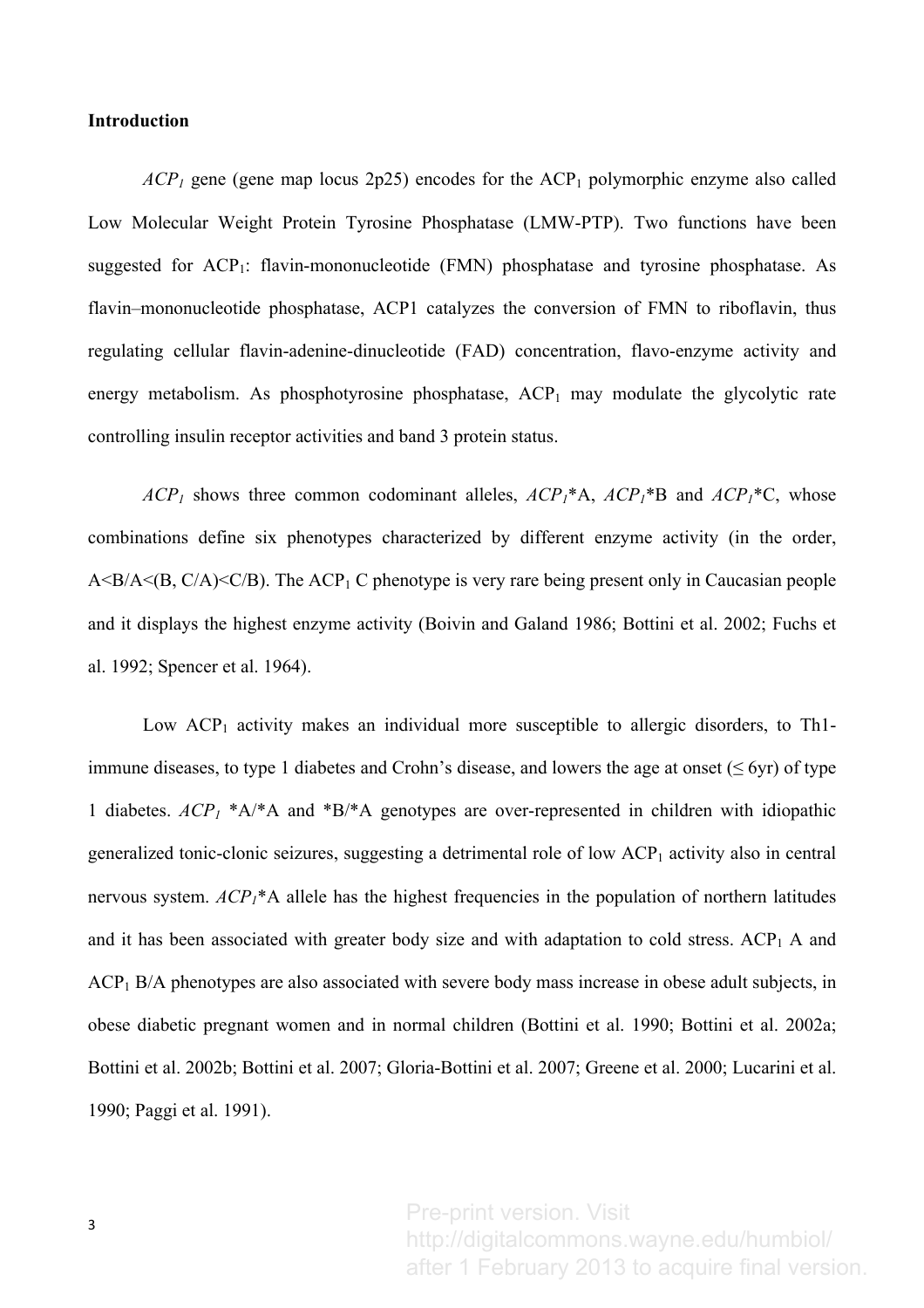# **Introduction**

 $ACP_1$  gene (gene map locus 2p25) encodes for the  $ACP_1$  polymorphic enzyme also called Low Molecular Weight Protein Tyrosine Phosphatase (LMW-PTP). Two functions have been suggested for  $ACP_1$ : flavin-mononucleotide (FMN) phosphatase and tyrosine phosphatase. As flavin–mononucleotide phosphatase, ACP1 catalyzes the conversion of FMN to riboflavin, thus regulating cellular flavin-adenine-dinucleotide (FAD) concentration, flavo-enzyme activity and energy metabolism. As phosphotyrosine phosphatase,  $\text{ACP}_1$  may modulate the glycolytic rate controlling insulin receptor activities and band 3 protein status.

 $ACP_1$  shows three common codominant alleles,  $ACP_1^*A$ ,  $ACP_1^*B$  and  $ACP_1^*C$ , whose combinations define six phenotypes characterized by different enzyme activity (in the order,  $A \leq B/A \leq (B, C/A) \leq C/B$ ). The  $ACP<sub>1</sub>$  C phenotype is very rare being present only in Caucasian people and it displays the highest enzyme activity (Boivin and Galand 1986; Bottini et al. 2002; Fuchs et al. 1992; Spencer et al. 1964).

Low  $ACP_1$  activity makes an individual more susceptible to allergic disorders, to Th1immune diseases, to type 1 diabetes and Crohn's disease, and lowers the age at onset ( $\leq$  6yr) of type 1 diabetes.  $ACP_1$  \*A/\*A and \*B/\*A genotypes are over-represented in children with idiopathic generalized tonic-clonic seizures, suggesting a detrimental role of low  ${ACP_1}$  activity also in central nervous system. *ACP<sub>1</sub>*\*A allele has the highest frequencies in the population of northern latitudes and it has been associated with greater body size and with adaptation to cold stress.  $ACP<sub>1</sub>$  A and ACP<sub>1</sub> B/A phenotypes are also associated with severe body mass increase in obese adult subjects, in obese diabetic pregnant women and in normal children (Bottini et al. 1990; Bottini et al. 2002a; Bottini et al. 2002b; Bottini et al. 2007; Gloria-Bottini et al. 2007; Greene et al. 2000; Lucarini et al. 1990; Paggi et al. 1991).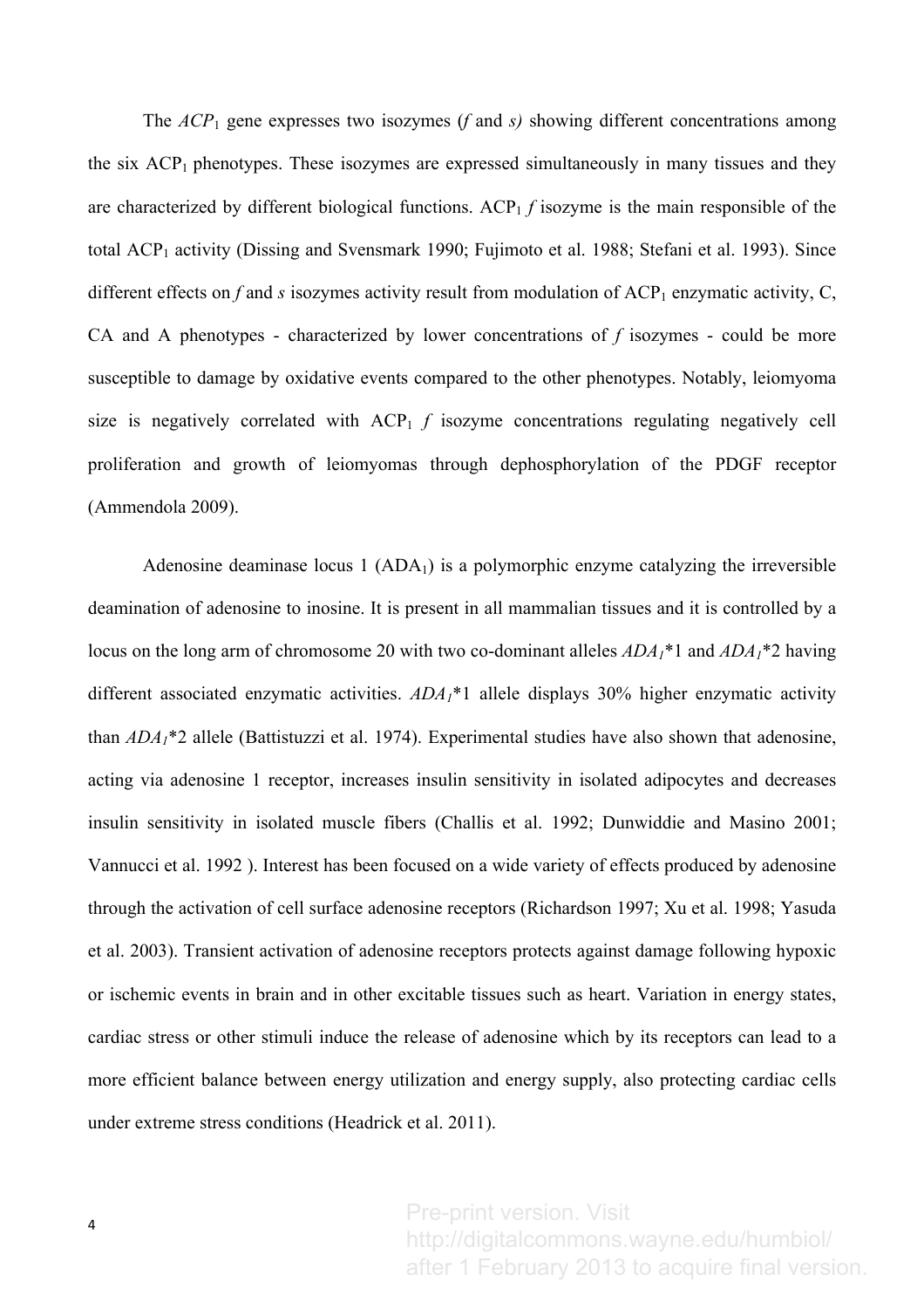The *ACP*<sup>1</sup> gene expresses two isozymes (*f* and *s)* showing different concentrations among the six  $\text{ACP}_1$  phenotypes. These isozymes are expressed simultaneously in many tissues and they are characterized by different biological functions. ACP<sub>1</sub> *f* isozyme is the main responsible of the total  $\text{ACP}_1$  activity (Dissing and Svensmark 1990; Fujimoto et al. 1988; Stefani et al. 1993). Since different effects on  $f$  and  $s$  isozymes activity result from modulation of  $\text{ACP}_1$  enzymatic activity,  $C$ , CA and A phenotypes - characterized by lower concentrations of *f* isozymes - could be more susceptible to damage by oxidative events compared to the other phenotypes. Notably, leiomyoma size is negatively correlated with  $\text{ACP}_1$  *f* isozyme concentrations regulating negatively cell proliferation and growth of leiomyomas through dephosphorylation of the PDGF receptor (Ammendola 2009).

Adenosine deaminase locus  $1 (ADA<sub>1</sub>)$  is a polymorphic enzyme catalyzing the irreversible deamination of adenosine to inosine. It is present in all mammalian tissues and it is controlled by a locus on the long arm of chromosome 20 with two co-dominant alleles *ADA1*\*1 and *ADA1*\*2 having different associated enzymatic activities. *ADA1*\*1 allele displays 30% higher enzymatic activity than *ADA1*\*2 allele (Battistuzzi et al. 1974). Experimental studies have also shown that adenosine, acting via adenosine 1 receptor, increases insulin sensitivity in isolated adipocytes and decreases insulin sensitivity in isolated muscle fibers (Challis et al. 1992; Dunwiddie and Masino 2001; Vannucci et al. 1992 ). Interest has been focused on a wide variety of effects produced by adenosine through the activation of cell surface adenosine receptors (Richardson 1997; Xu et al. 1998; Yasuda et al. 2003). Transient activation of adenosine receptors protects against damage following hypoxic or ischemic events in brain and in other excitable tissues such as heart. Variation in energy states, cardiac stress or other stimuli induce the release of adenosine which by its receptors can lead to a more efficient balance between energy utilization and energy supply, also protecting cardiac cells under extreme stress conditions (Headrick et al. 2011).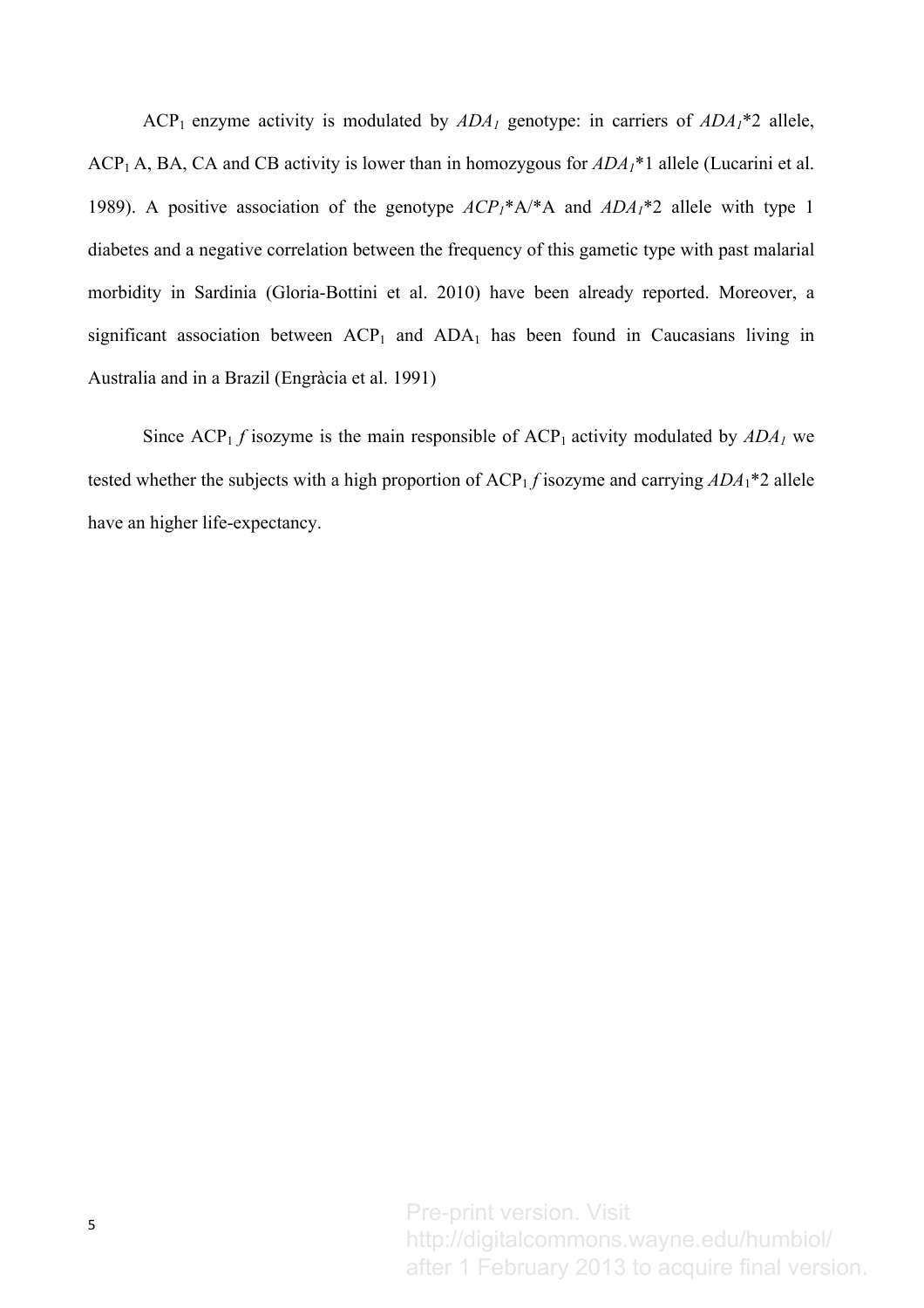ACP<sub>1</sub> enzyme activity is modulated by  $ADA_1$  genotype: in carriers of  $ADA_1*2$  allele, ACP<sub>1</sub> A, BA, CA and CB activity is lower than in homozygous for  $ADA_1^*1$  allele (Lucarini et al. 1989). A positive association of the genotype *ACP1*\*A/\*A and *ADA1*\*2 allele with type 1 diabetes and a negative correlation between the frequency of this gametic type with past malarial morbidity in Sardinia (Gloria-Bottini et al. 2010) have been already reported. Moreover, a significant association between  $\text{ACP}_1$  and  $\text{ADA}_1$  has been found in Caucasians living in Australia and in a Brazil (Engràcia et al. 1991)

Since  $\text{ACP}_1$  *f* isozyme is the main responsible of  $\text{ACP}_1$  activity modulated by  $\text{ADA}_1$  we tested whether the subjects with a high proportion of ACP1 *f* isozyme and carrying *ADA*1\*2 allele have an higher life-expectancy.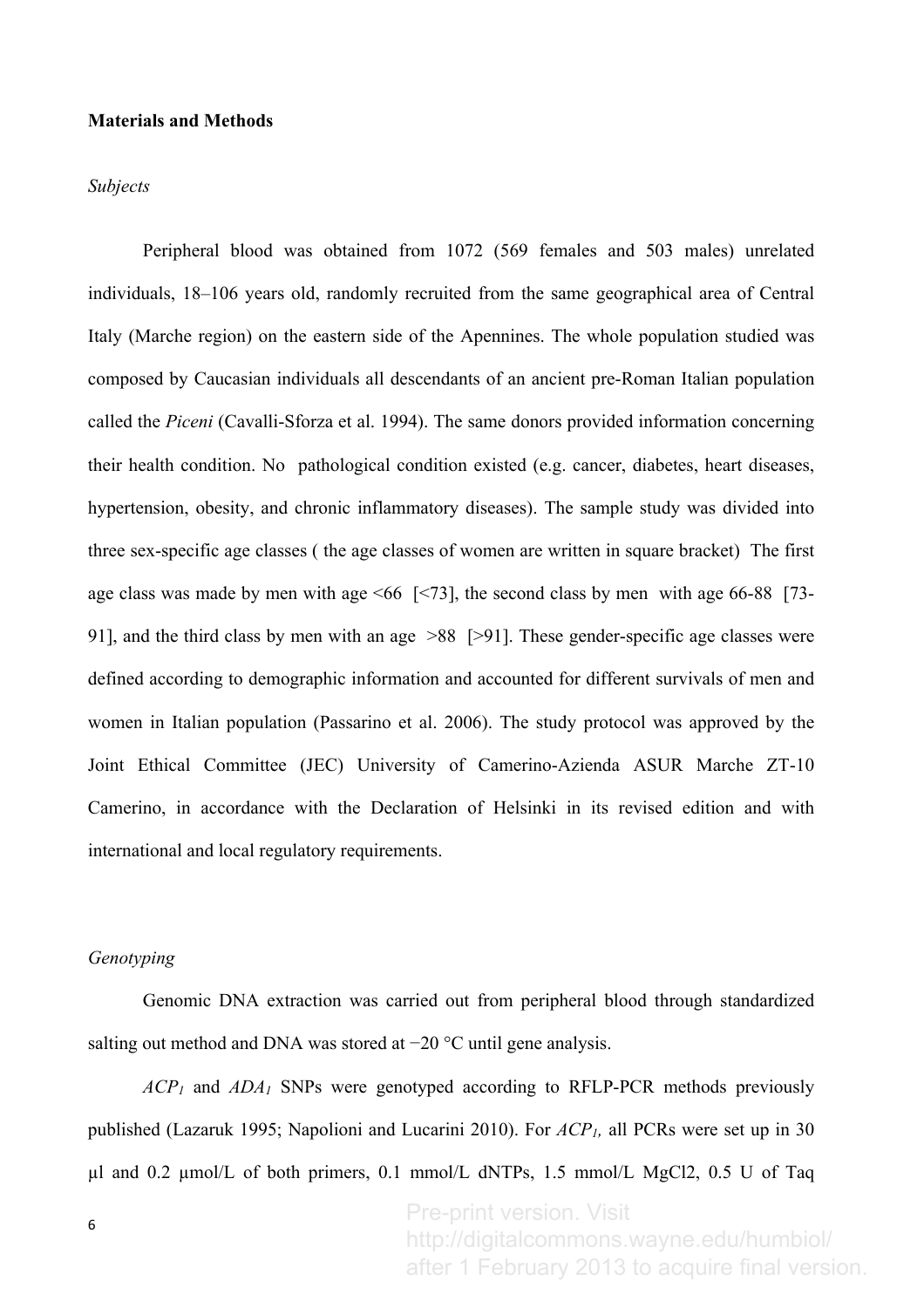#### **Materials and Methods**

#### *Subjects*

Peripheral blood was obtained from 1072 (569 females and 503 males) unrelated individuals, 18–106 years old, randomly recruited from the same geographical area of Central Italy (Marche region) on the eastern side of the Apennines. The whole population studied was composed by Caucasian individuals all descendants of an ancient pre-Roman Italian population called the *Piceni* (Cavalli-Sforza et al. 1994). The same donors provided information concerning their health condition. No pathological condition existed (e.g. cancer, diabetes, heart diseases, hypertension, obesity, and chronic inflammatory diseases). The sample study was divided into three sex-specific age classes ( the age classes of women are written in square bracket) The first age class was made by men with age  $\leq 66$  [ $\leq 73$ ], the second class by men with age 66-88 [73-91], and the third class by men with an age >88 [>91]. These gender-specific age classes were defined according to demographic information and accounted for different survivals of men and women in Italian population (Passarino et al. 2006). The study protocol was approved by the Joint Ethical Committee (JEC) University of Camerino-Azienda ASUR Marche ZT-10 Camerino, in accordance with the Declaration of Helsinki in its revised edition and with international and local regulatory requirements.

## *Genotyping*

Genomic DNA extraction was carried out from peripheral blood through standardized salting out method and DNA was stored at −20 °C until gene analysis.

*ACP1* and *ADA1* SNPs were genotyped according to RFLP-PCR methods previously published (Lazaruk 1995; Napolioni and Lucarini 2010). For *ACP1,* all PCRs were set up in 30  $\mu$ l and 0.2  $\mu$ mol/L of both primers, 0.1 mmol/L dNTPs, 1.5 mmol/L MgCl2, 0.5 U of Taq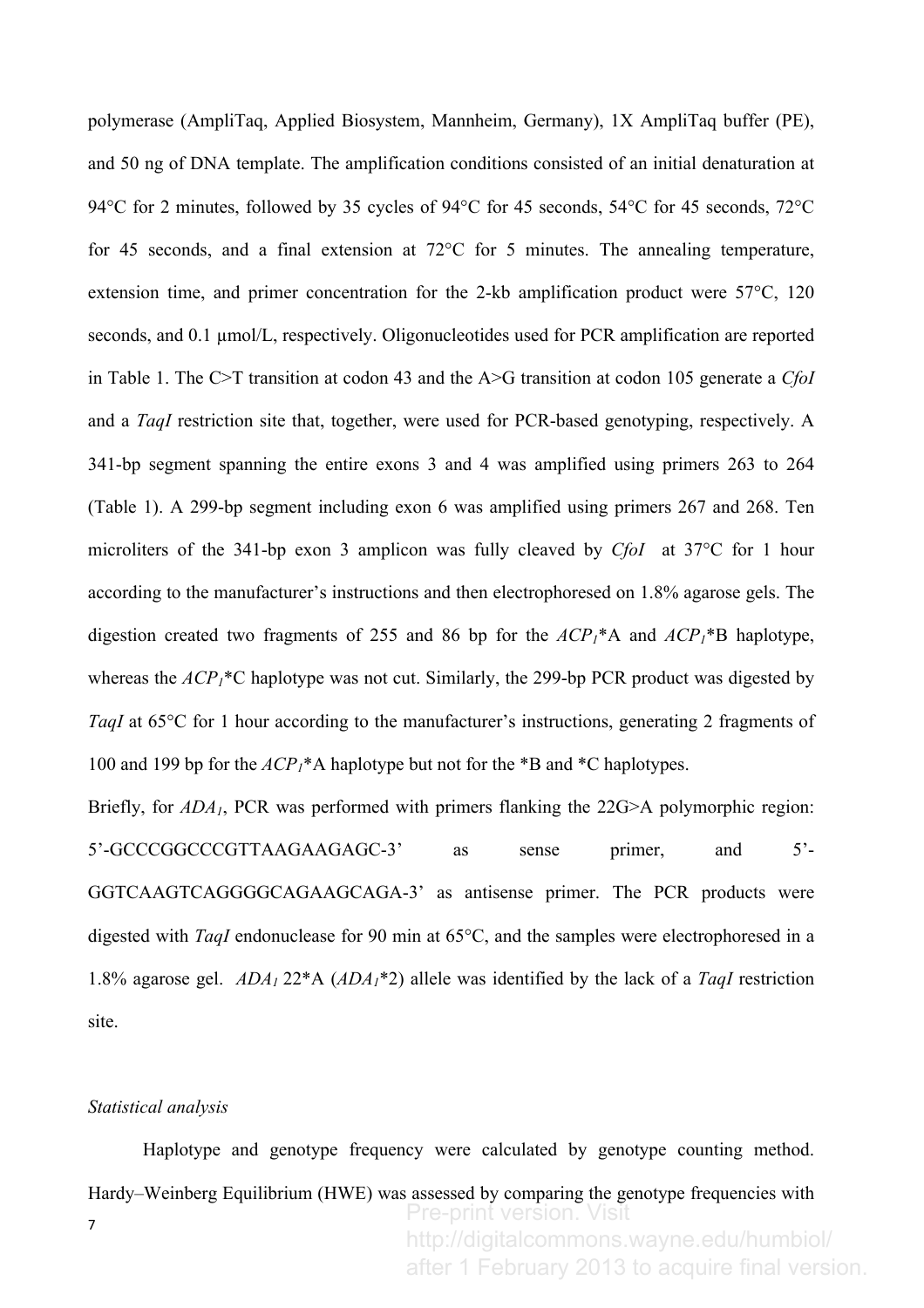polymerase (AmpliTaq, Applied Biosystem, Mannheim, Germany), 1X AmpliTaq buffer (PE), and 50 ng of DNA template. The amplification conditions consisted of an initial denaturation at 94°C for 2 minutes, followed by 35 cycles of 94°C for 45 seconds, 54°C for 45 seconds, 72°C for 45 seconds, and a final extension at 72°C for 5 minutes. The annealing temperature, extension time, and primer concentration for the 2-kb amplification product were 57<sup>o</sup>C, 120 seconds, and 0.1  $\mu$ mol/L, respectively. Oligonucleotides used for PCR amplification are reported in Table 1. The C>T transition at codon 43 and the A>G transition at codon 105 generate a *CfoI* and a *TaqI* restriction site that, together, were used for PCR-based genotyping, respectively. A 341-bp segment spanning the entire exons 3 and 4 was amplified using primers 263 to 264 (Table 1). A 299-bp segment including exon 6 was amplified using primers 267 and 268. Ten microliters of the 341-bp exon 3 amplicon was fully cleaved by *CfoI* at 37°C for 1 hour according to the manufacturer's instructions and then electrophoresed on 1.8% agarose gels. The digestion created two fragments of 255 and 86 bp for the  $ACP_1^*A$  and  $ACP_1^*B$  haplotype, whereas the  ${ACP_1}^*C$  haplotype was not cut. Similarly, the 299-bp PCR product was digested by *TaqI* at 65<sup>o</sup>C for 1 hour according to the manufacturer's instructions, generating 2 fragments of 100 and 199 bp for the *ACP1*\*A haplotype but not for the \*B and \*C haplotypes.

Briefly, for  $ADA<sub>1</sub>$ , PCR was performed with primers flanking the 22G>A polymorphic region: 5'-GCCCGGCCCGTTAAGAAGAGC-3' as sense primer, and 5'- GGTCAAGTCAGGGGCAGAAGCAGA-3' as antisense primer. The PCR products were digested with *TaqI* endonuclease for 90 min at 65°C, and the samples were electrophoresed in a 1.8% agarose gel. *ADA1* 22\*A (*ADA1*\*2) allele was identified by the lack of a *TaqI* restriction site.

# *Statistical analysis*

7 Haplotype and genotype frequency were calculated by genotype counting method. Hardy–Weinberg Equilibrium (HWE) was assessed by comparing the genotype frequencies with Pre-print version. Visit http://digitalcommons.wayne.edu/humbiol/

after 1 February 2013 to acquire final version.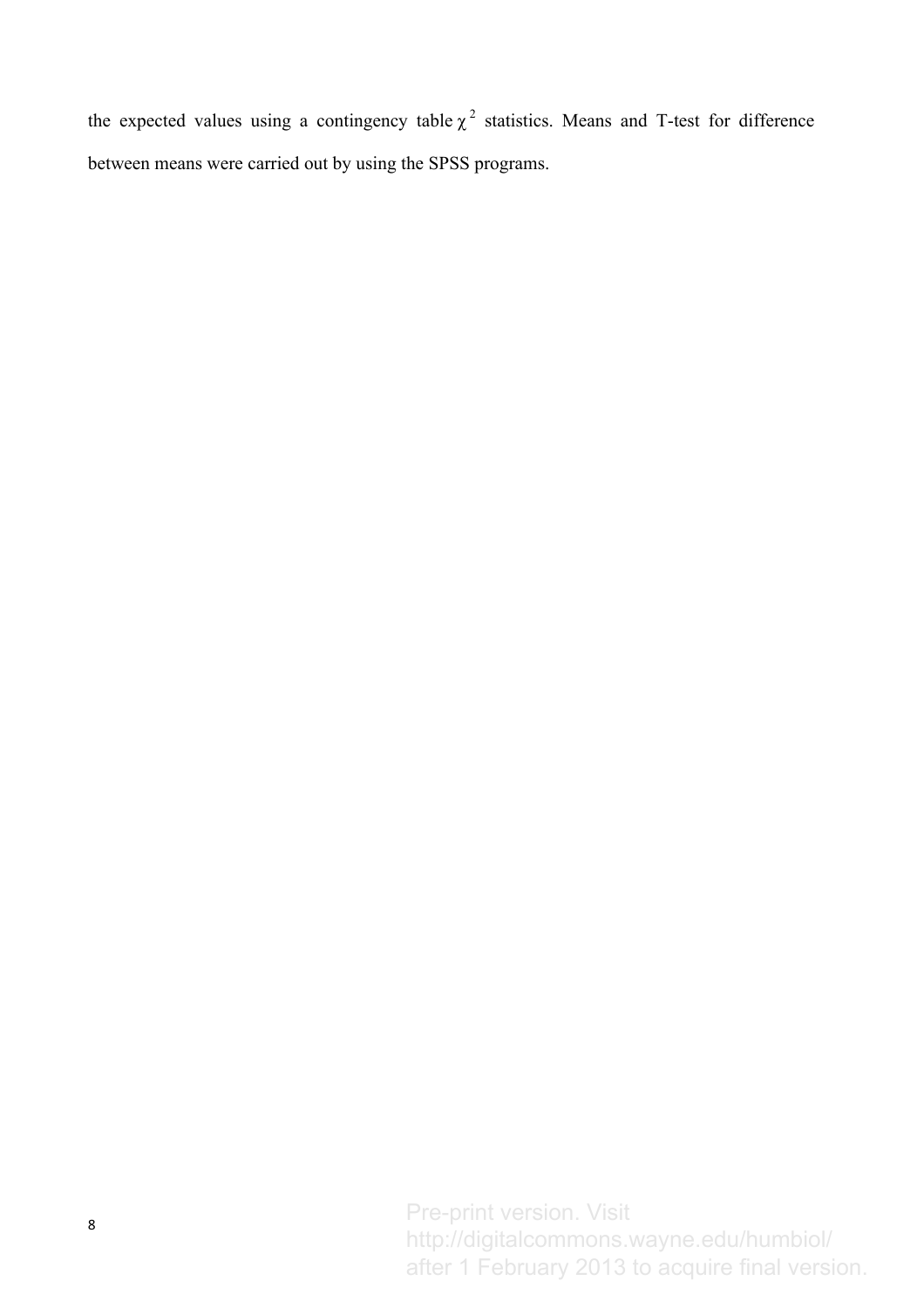the expected values using a contingency table  $\chi^2$  statistics. Means and T-test for difference between means were carried out by using the SPSS programs.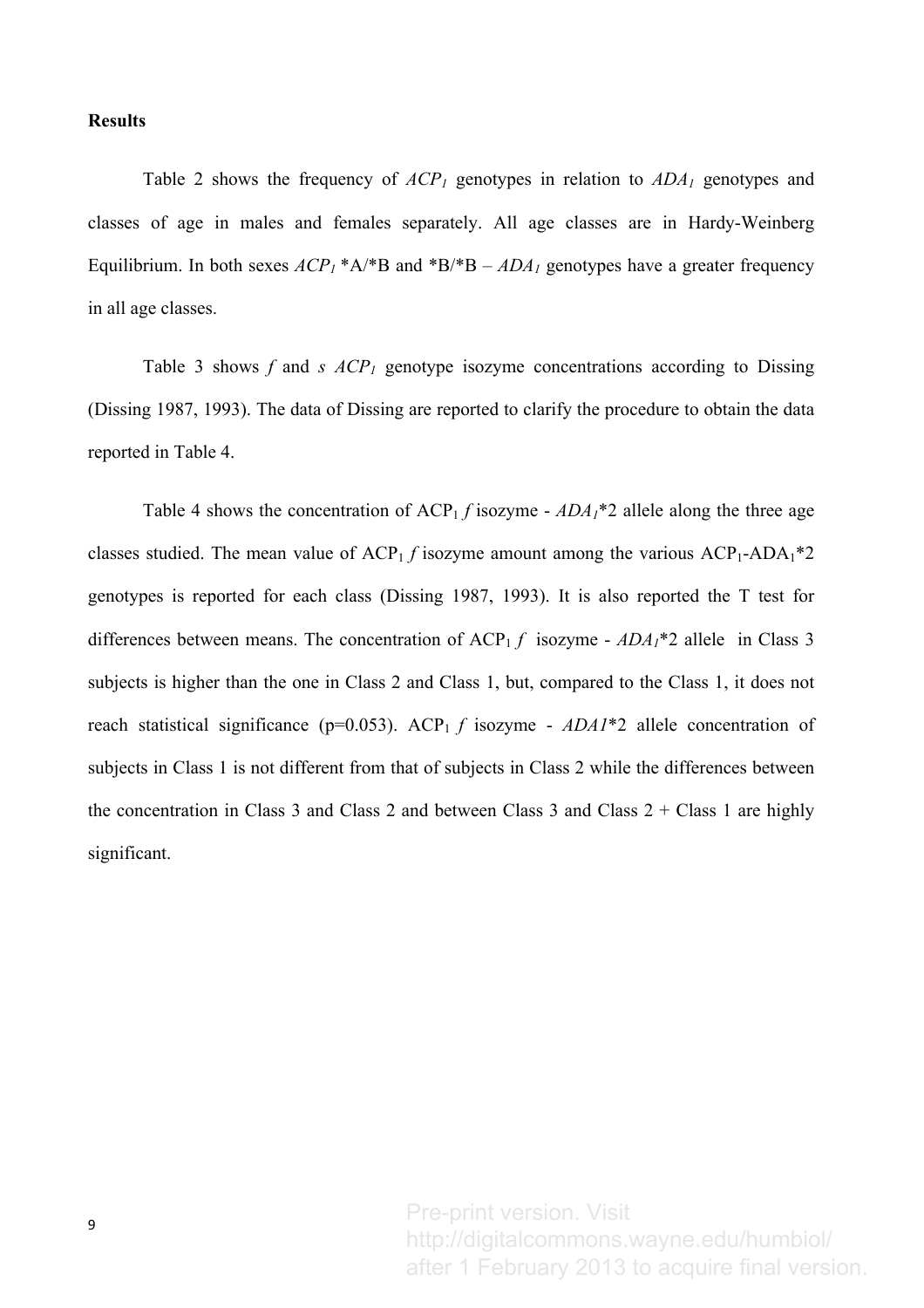# **Results**

Table 2 shows the frequency of  $ACP_1$  genotypes in relation to  $ADA_1$  genotypes and classes of age in males and females separately. All age classes are in Hardy-Weinberg Equilibrium. In both sexes  $ACP_1$ <sup>\*</sup>A/<sup>\*</sup>B and <sup>\*</sup>B/<sup>\*</sup>B –  $ADA_1$  genotypes have a greater frequency in all age classes.

Table 3 shows  $f$  and  $s$   $ACP<sub>1</sub>$  genotype isozyme concentrations according to Dissing (Dissing 1987, 1993). The data of Dissing are reported to clarify the procedure to obtain the data reported in Table 4.

Table 4 shows the concentration of  $\text{ACP}_1 f$  isozyme -  $\text{ADA}_1^*$  allele along the three age classes studied. The mean value of  $\text{ACP}_1$  *f* isozyme amount among the various  $\text{ACP}_1\text{-}\text{ADA}_1*2$ genotypes is reported for each class (Dissing 1987, 1993). It is also reported the T test for differences between means. The concentration of  $\text{ACP}_1 f$  isozyme -  $\text{ADA}_1 * 2$  allele in Class 3 subjects is higher than the one in Class 2 and Class 1, but, compared to the Class 1, it does not reach statistical significance ( $p=0.053$ ). ACP<sub>1</sub> *f* isozyme -  $ADAI*2$  allele concentration of subjects in Class 1 is not different from that of subjects in Class 2 while the differences between the concentration in Class 3 and Class 2 and between Class 3 and Class  $2 +$ Class 1 are highly significant.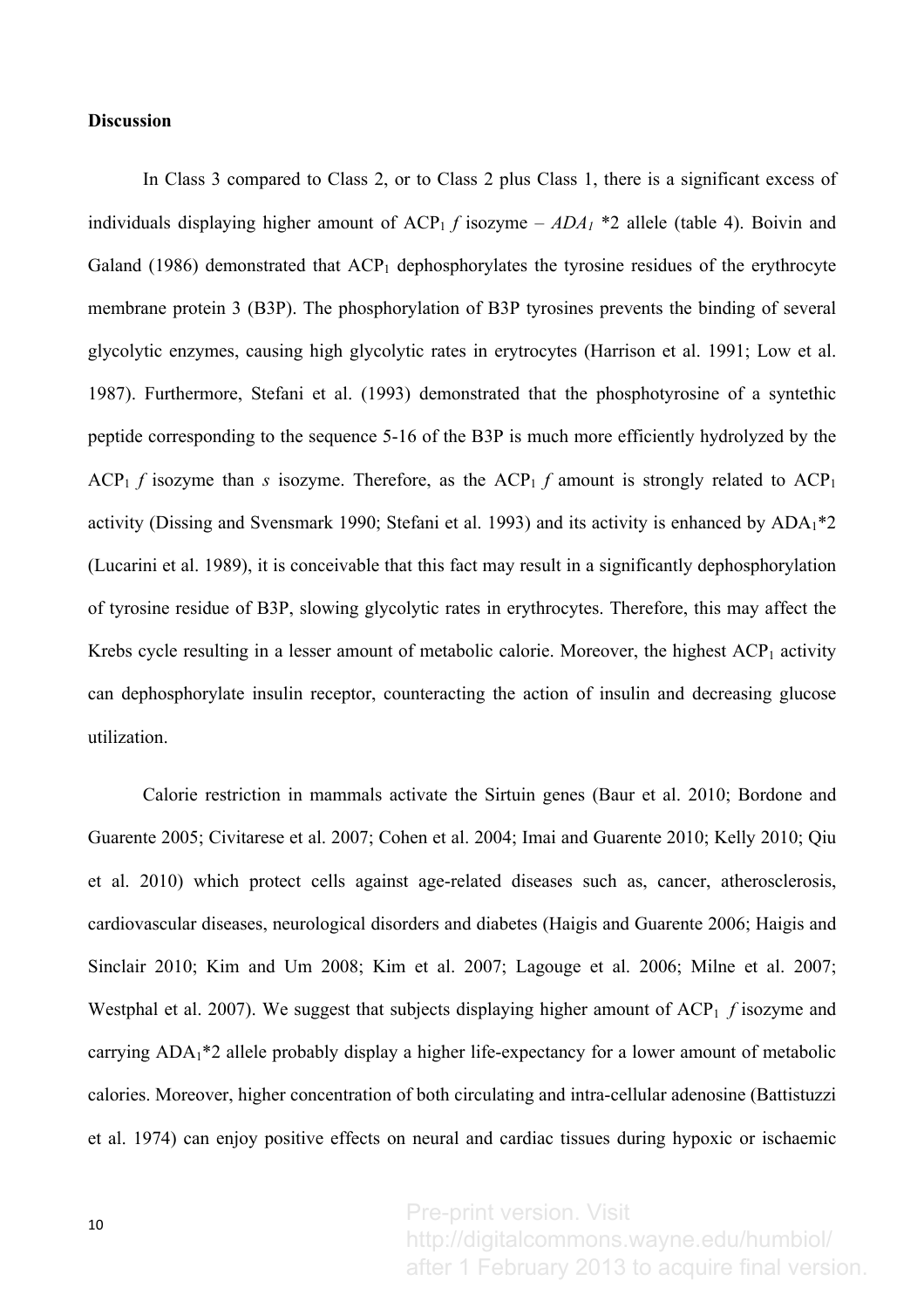# **Discussion**

In Class 3 compared to Class 2, or to Class 2 plus Class 1, there is a significant excess of individuals displaying higher amount of  $\text{ACP}_1$  *f* isozyme –  $\text{ADA}_1$  \*2 allele (table 4). Boivin and Galand (1986) demonstrated that  $ACP_1$  dephosphorylates the tyrosine residues of the erythrocyte membrane protein 3 (B3P). The phosphorylation of B3P tyrosines prevents the binding of several glycolytic enzymes, causing high glycolytic rates in erytrocytes (Harrison et al. 1991; Low et al. 1987). Furthermore, Stefani et al. (1993) demonstrated that the phosphotyrosine of a syntethic peptide corresponding to the sequence 5-16 of the B3P is much more efficiently hydrolyzed by the ACP<sub>1</sub> *f* isozyme than *s* isozyme. Therefore, as the ACP<sub>1</sub> *f* amount is strongly related to ACP<sub>1</sub> activity (Dissing and Svensmark 1990; Stefani et al. 1993) and its activity is enhanced by  $ADA<sub>1</sub>*2$ (Lucarini et al. 1989), it is conceivable that this fact may result in a significantly dephosphorylation of tyrosine residue of B3P, slowing glycolytic rates in erythrocytes. Therefore, this may affect the Krebs cycle resulting in a lesser amount of metabolic calorie. Moreover, the highest  $ACP_1$  activity can dephosphorylate insulin receptor, counteracting the action of insulin and decreasing glucose utilization.

Calorie restriction in mammals activate the Sirtuin genes (Baur et al. 2010; Bordone and Guarente 2005; Civitarese et al. 2007; Cohen et al. 2004; Imai and Guarente 2010; Kelly 2010; Qiu et al. 2010) which protect cells against age-related diseases such as, cancer, atherosclerosis, cardiovascular diseases, neurological disorders and diabetes (Haigis and Guarente 2006; Haigis and Sinclair 2010; Kim and Um 2008; Kim et al. 2007; Lagouge et al. 2006; Milne et al. 2007; Westphal et al. 2007). We suggest that subjects displaying higher amount of  $\text{ACP}_1$  *f* isozyme and carrying ADA1\*2 allele probably display a higher life-expectancy for a lower amount of metabolic calories. Moreover, higher concentration of both circulating and intra-cellular adenosine (Battistuzzi et al. 1974) can enjoy positive effects on neural and cardiac tissues during hypoxic or ischaemic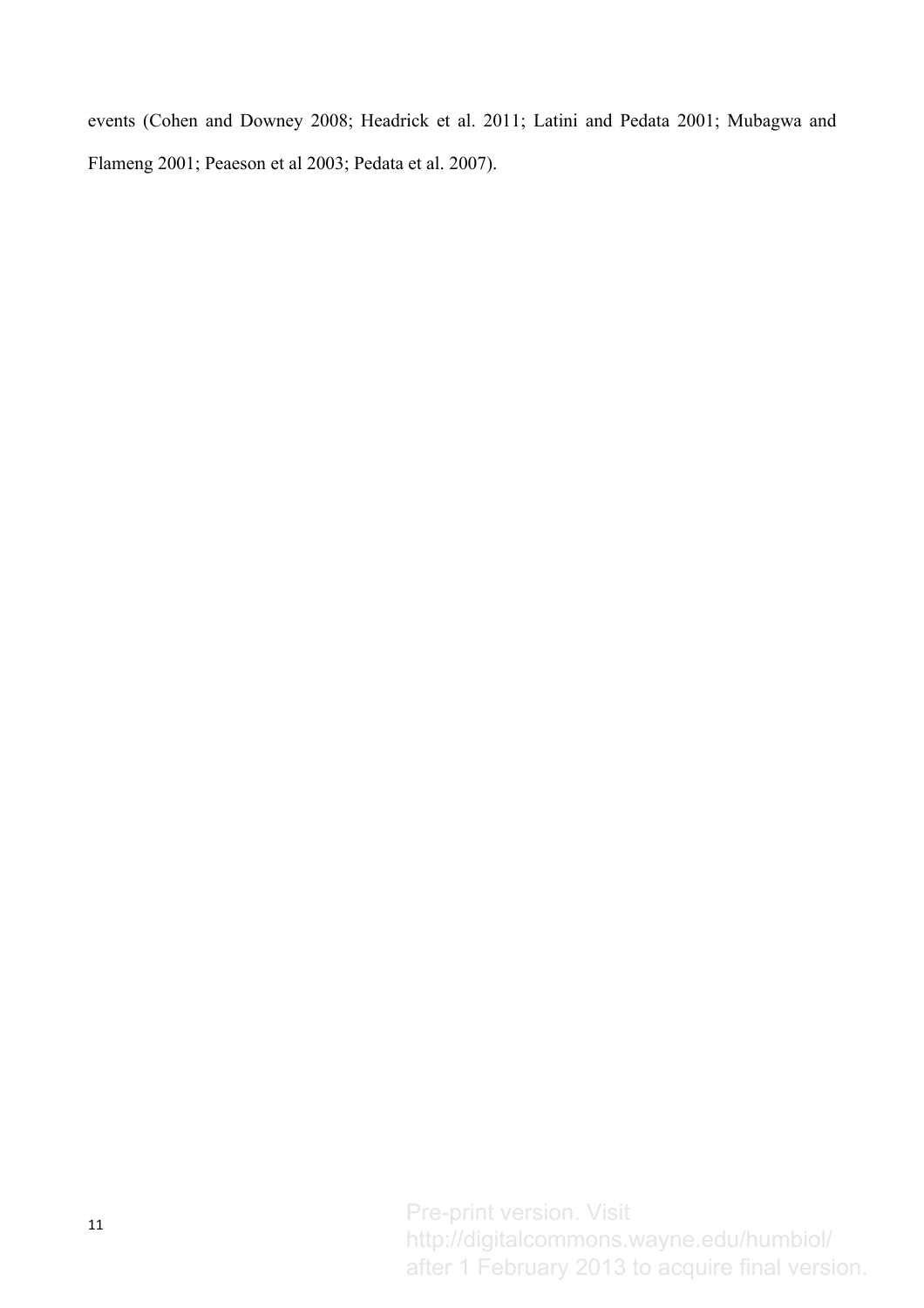events (Cohen and Downey 2008; Headrick et al. 2011; Latini and Pedata 2001; Mubagwa and Flameng 2001; Peaeson et al 2003; Pedata et al. 2007).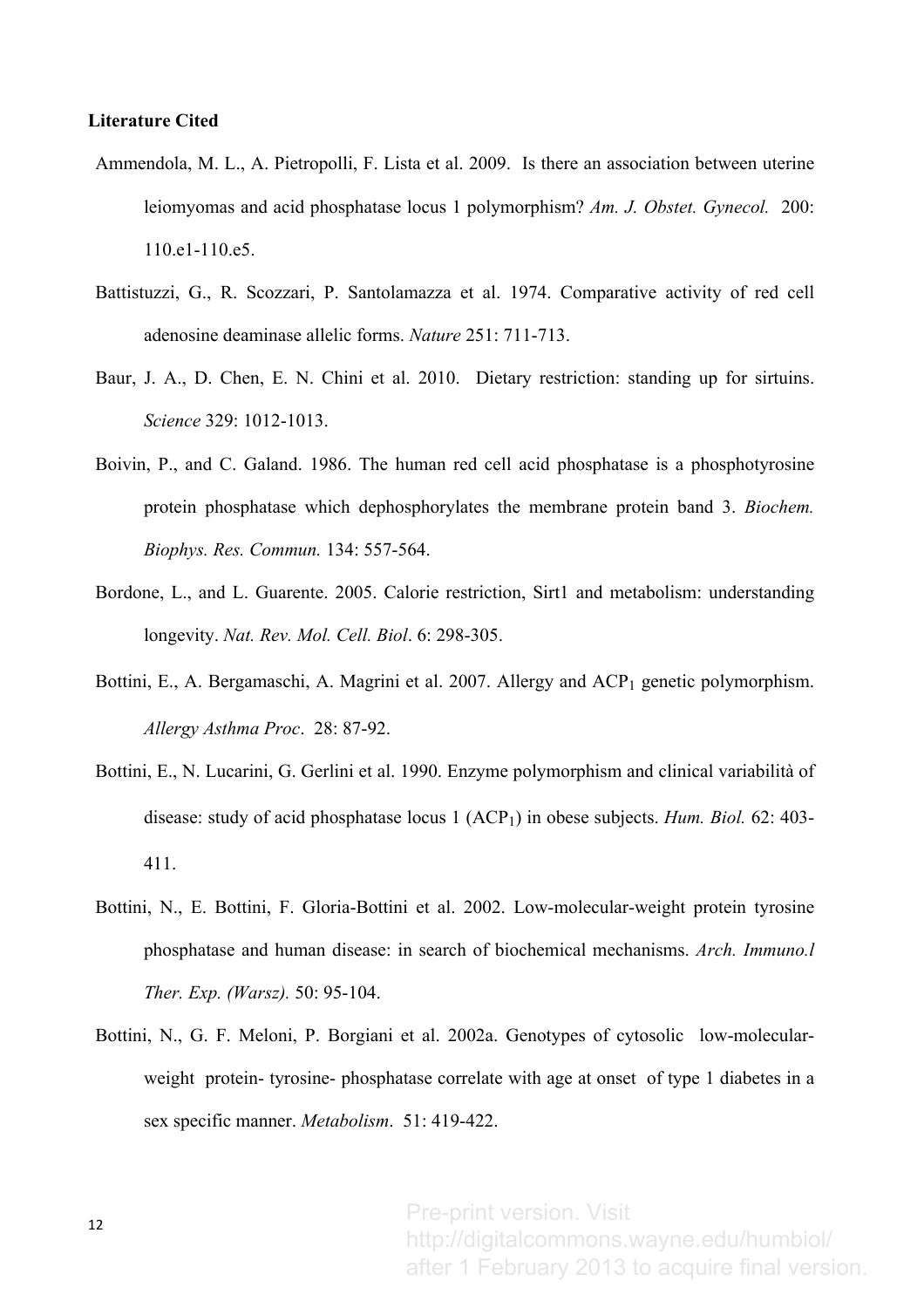## **Literature Cited**

- Ammendola, M. L., A. Pietropolli, F. Lista et al. 2009. Is there an association between uterine leiomyomas and acid phosphatase locus 1 polymorphism? *Am. J. Obstet. Gynecol.* 200: 110.e1-110.e5.
- Battistuzzi, G., R. Scozzari, P. Santolamazza et al. 1974. Comparative activity of red cell adenosine deaminase allelic forms. *Nature* 251: 711-713.
- Baur, J. A., D. Chen, E. N. Chini et al. 2010. Dietary restriction: standing up for sirtuins. *Science* 329: 1012-1013.
- Boivin, P., and C. Galand. 1986. The human red cell acid phosphatase is a phosphotyrosine protein phosphatase which dephosphorylates the membrane protein band 3. *Biochem. Biophys. Res. Commun.* 134: 557-564.
- Bordone, L., and L. Guarente. 2005. Calorie restriction, Sirt1 and metabolism: understanding longevity. *Nat. Rev. Mol. Cell. Biol*. 6: 298-305.
- Bottini, E., A. Bergamaschi, A. Magrini et al. 2007. Allergy and  $\text{ACP}_1$  genetic polymorphism. *Allergy Asthma Proc*. 28: 87-92.
- Bottini, E., N. Lucarini, G. Gerlini et al. 1990. Enzyme polymorphism and clinical variabilità of disease: study of acid phosphatase locus 1 (ACP<sub>1</sub>) in obese subjects. *Hum. Biol.* 62: 403-411.
- Bottini, N., E. Bottini, F. Gloria-Bottini et al. 2002. Low-molecular-weight protein tyrosine phosphatase and human disease: in search of biochemical mechanisms. *Arch. Immuno.l Ther. Exp. (Warsz).* 50: 95-104.
- Bottini, N., G. F. Meloni, P. Borgiani et al. 2002a. Genotypes of cytosolic low-molecularweight protein- tyrosine- phosphatase correlate with age at onset of type 1 diabetes in a sex specific manner. *Metabolism*. 51: 419-422.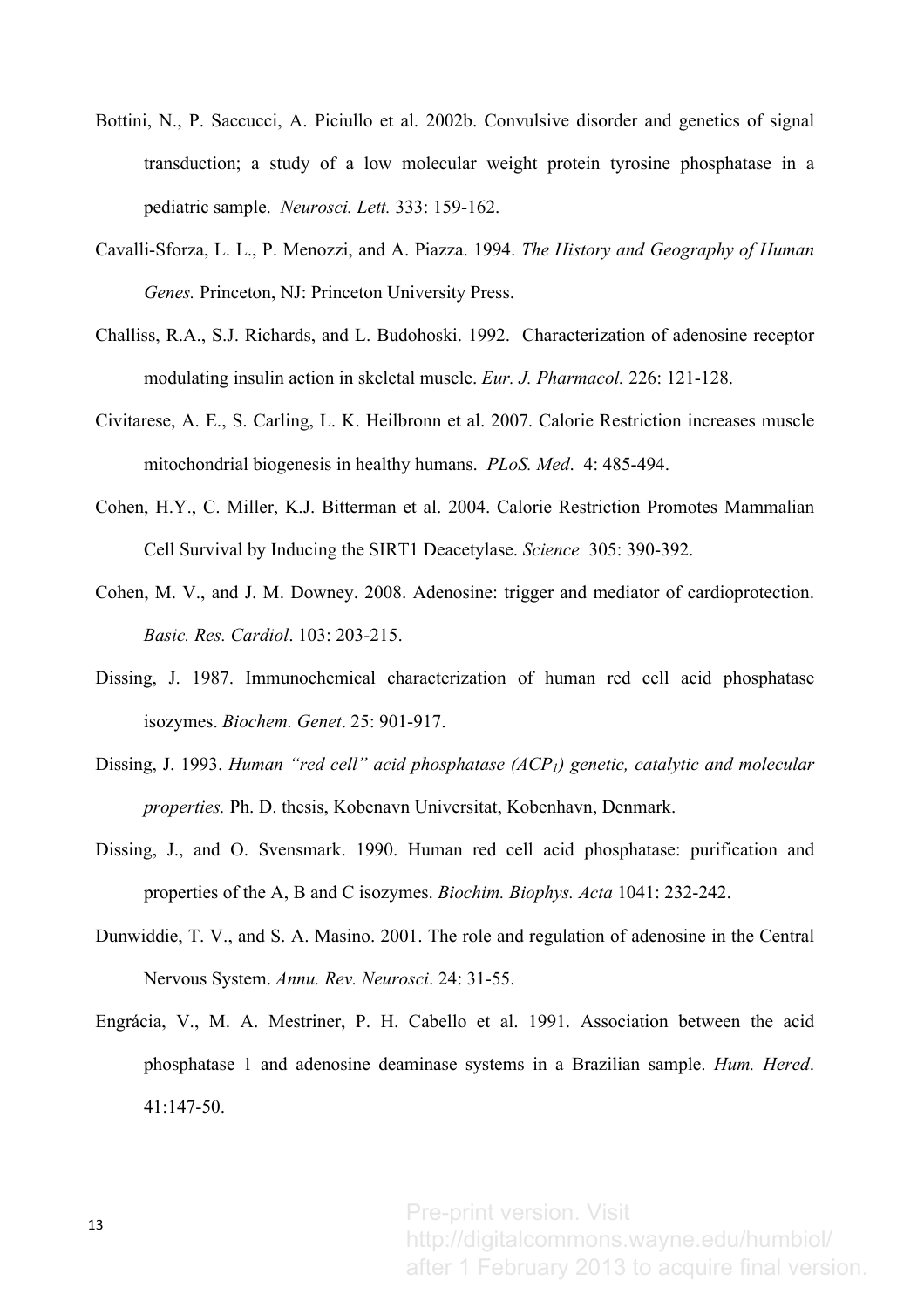- Bottini, N., P. Saccucci, A. Piciullo et al. 2002b. Convulsive disorder and genetics of signal transduction; a study of a low molecular weight protein tyrosine phosphatase in a pediatric sample. *Neurosci. Lett.* 333: 159-162.
- Cavalli-Sforza, L. L., P. Menozzi, and A. Piazza. 1994. *The History and Geography of Human Genes.* Princeton, NJ: Princeton University Press.
- Challiss, R.A., S.J. Richards, and L. Budohoski. 1992. Characterization of adenosine receptor modulating insulin action in skeletal muscle. *Eur. J. Pharmacol.* 226: 121-128.
- Civitarese, A. E., S. Carling, L. K. Heilbronn et al. 2007. Calorie Restriction increases muscle mitochondrial biogenesis in healthy humans. *PLoS. Med*. 4: 485-494.
- Cohen, H.Y., C. Miller, K.J. Bitterman et al. 2004. Calorie Restriction Promotes Mammalian Cell Survival by Inducing the SIRT1 Deacetylase. *Science* 305: 390-392.
- Cohen, M. V., and J. M. Downey. 2008. Adenosine: trigger and mediator of cardioprotection. *Basic. Res. Cardiol*. 103: 203-215.
- Dissing, J. 1987. Immunochemical characterization of human red cell acid phosphatase isozymes. *Biochem. Genet*. 25: 901-917.
- Dissing, J. 1993. *Human "red cell" acid phosphatase (ACP1) genetic, catalytic and molecular properties.* Ph. D. thesis, Kobenavn Universitat, Kobenhavn, Denmark.
- Dissing, J., and O. Svensmark. 1990. Human red cell acid phosphatase: purification and properties of the A, B and C isozymes. *Biochim. Biophys. Acta* 1041: 232-242.
- Dunwiddie, T. V., and S. A. Masino. 2001. The role and regulation of adenosine in the Central Nervous System. *Annu. Rev. Neurosci*. 24: 31-55.
- Engrácia, V., M. A. Mestriner, P. H. Cabello et al. 1991. Association between the acid phosphatase 1 and adenosine deaminase systems in a Brazilian sample. *Hum. Hered*. 41:147-50.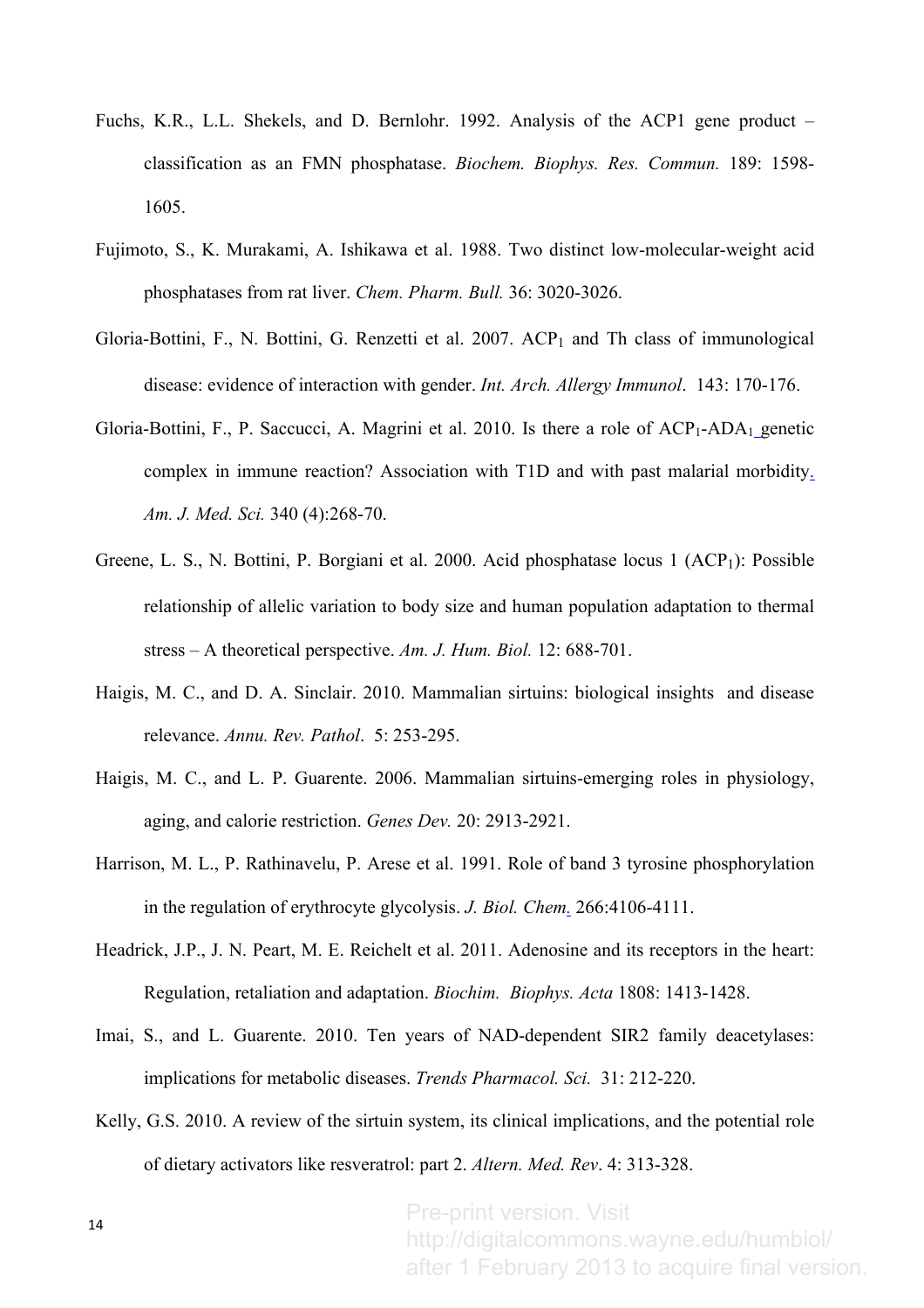- Fuchs, K.R., L.L. Shekels, and D. Bernlohr. 1992. Analysis of the ACP1 gene product classification as an FMN phosphatase. *Biochem. Biophys. Res. Commun.* 189: 1598- 1605.
- Fujimoto, S., K. Murakami, A. Ishikawa et al. 1988. Two distinct low-molecular-weight acid phosphatases from rat liver. *Chem. Pharm. Bull.* 36: 3020-3026.
- Gloria-Bottini, F., N. Bottini, G. Renzetti et al.  $2007$ .  $ACP<sub>1</sub>$  and Th class of immunological disease: evidence of interaction with gender. *Int. Arch. Allergy Immunol*. 143: 170-176.
- Gloria-Bottini, F., P. Saccucci, A. Magrini et al. 2010. Is there a role of  $\text{ACP}_1\text{-ADA}_1$  genetic complex in immune reaction? Association with T1D and with past malarial morbidity. *Am. J. Med. Sci.* 340 (4):268-70.
- Greene, L. S., N. Bottini, P. Borgiani et al. 2000. Acid phosphatase locus 1 (ACP<sub>1</sub>): Possible relationship of allelic variation to body size and human population adaptation to thermal stress – A theoretical perspective. *Am. J. Hum. Biol.* 12: 688-701.
- Haigis, M. C., and D. A. Sinclair. 2010. Mammalian sirtuins: biological insights and disease relevance. *Annu. Rev. Pathol*. 5: 253-295.
- Haigis, M. C., and L. P. Guarente. 2006. Mammalian sirtuins-emerging roles in physiology, aging, and calorie restriction. *Genes Dev.* 20: 2913-2921.
- Harrison, M. L., P. Rathinavelu, P. Arese et al. 1991. Role of band 3 tyrosine phosphorylation in the regulation of erythrocyte glycolysis. *J. Biol. Chem.* 266:4106-4111.
- Headrick, J.P., J. N. Peart, M. E. Reichelt et al. 2011. Adenosine and its receptors in the heart: Regulation, retaliation and adaptation. *Biochim. Biophys. Acta* 1808: 1413-1428.
- Imai, S., and L. Guarente. 2010. Ten years of NAD-dependent SIR2 family deacetylases: implications for metabolic diseases. *Trends Pharmacol. Sci.*31: 212-220.
- Kelly, G.S. 2010. A review of the sirtuin system, its clinical implications, and the potential role of dietary activators like resveratrol: part 2. *Altern. Med. Rev*. 4: 313-328.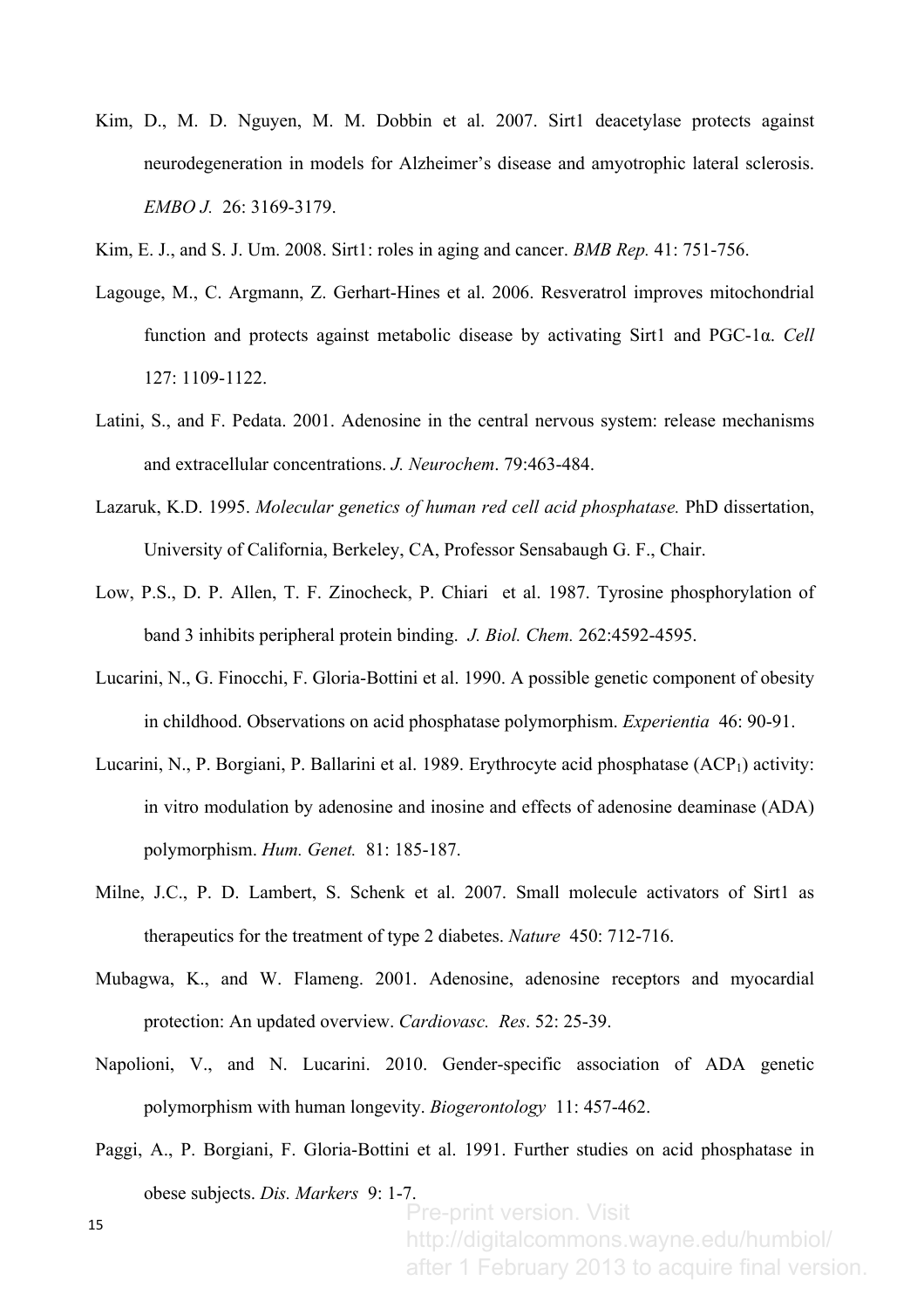- Kim, D., M. D. Nguyen, M. M. Dobbin et al. 2007. Sirt1 deacetylase protects against neurodegeneration in models for Alzheimer's disease and amyotrophic lateral sclerosis. *EMBO J.* 26: 3169-3179.
- Kim, E. J., and S. J. Um. 2008. Sirt1: roles in aging and cancer. *BMB Rep.* 41: 751-756.
- Lagouge, M., C. Argmann, Z. Gerhart-Hines et al. 2006. Resveratrol improves mitochondrial function and protects against metabolic disease by activating Sirt1 and PGC-1α. *Cell* 127: 1109-1122.
- Latini, S., and F. Pedata. 2001. Adenosine in the central nervous system: release mechanisms and extracellular concentrations. *J. Neurochem*. 79:463-484.
- Lazaruk, K.D. 1995. *Molecular genetics of human red cell acid phosphatase.* PhD dissertation, University of California, Berkeley, CA, Professor Sensabaugh G. F., Chair.
- Low, P.S., D. P. Allen, T. F. Zinocheck, P. Chiari et al. 1987. Tyrosine phosphorylation of band 3 inhibits peripheral protein binding. *J. Biol. Chem.* 262:4592-4595.
- Lucarini, N., G. Finocchi, F. Gloria-Bottini et al. 1990. A possible genetic component of obesity in childhood. Observations on acid phosphatase polymorphism. *Experientia* 46: 90-91.
- Lucarini, N., P. Borgiani, P. Ballarini et al. 1989. Erythrocyte acid phosphatase  $(ACP_1)$  activity: in vitro modulation by adenosine and inosine and effects of adenosine deaminase (ADA) polymorphism. *Hum. Genet.* 81: 185-187.
- Milne, J.C., P. D. Lambert, S. Schenk et al. 2007. Small molecule activators of Sirt1 as therapeutics for the treatment of type 2 diabetes. *Nature* 450: 712-716.
- Mubagwa, K., and W. Flameng. 2001. Adenosine, adenosine receptors and myocardial protection: An updated overview. *Cardiovasc. Res*. 52: 25-39.
- Napolioni, V., and N. Lucarini. 2010. Gender-specific association of ADA genetic polymorphism with human longevity. *Biogerontology* 11: 457-462.
- Paggi, A., P. Borgiani, F. Gloria-Bottini et al. 1991. Further studies on acid phosphatase in obese subjects. *Dis. Markers* 9: 1-7.

15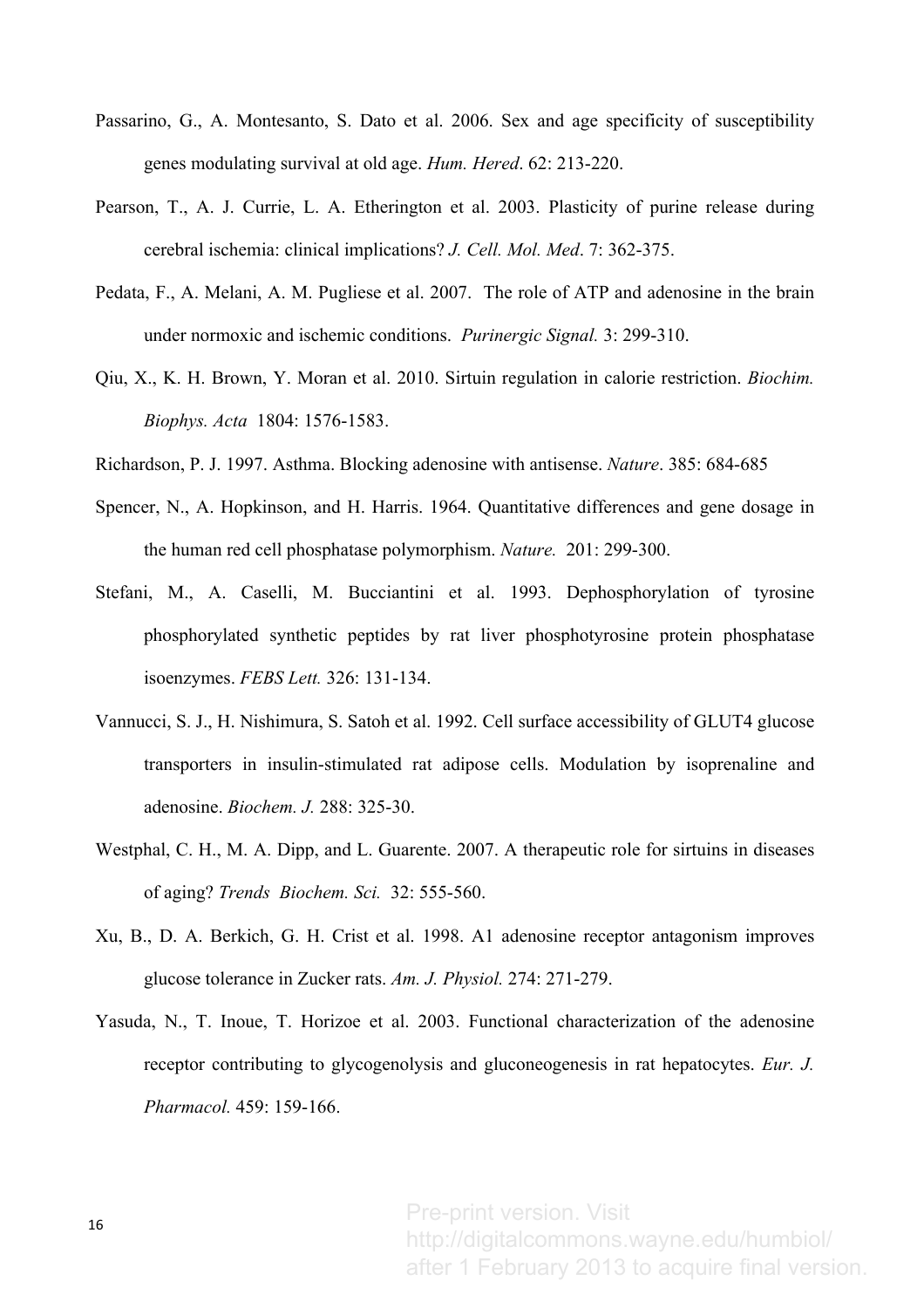- Passarino, G., A. Montesanto, S. Dato et al. 2006. Sex and age specificity of susceptibility genes modulating survival at old age. *Hum. Hered*. 62: 213-220.
- Pearson, T., A. J. Currie, L. A. Etherington et al. 2003. Plasticity of purine release during cerebral ischemia: clinical implications? *J. Cell. Mol. Med*. 7: 362-375.
- Pedata, F., A. Melani, A. M. Pugliese et al. 2007. The role of ATP and adenosine in the brain under normoxic and ischemic conditions. *Purinergic Signal.* 3: 299-310.
- Qiu, X., K. H. Brown, Y. Moran et al. 2010. Sirtuin regulation in calorie restriction. *Biochim. Biophys. Acta* 1804: 1576-1583.
- Richardson, P. J. 1997. Asthma. Blocking adenosine with antisense. *Nature*. 385: 684-685
- Spencer, N., A. Hopkinson, and H. Harris. 1964. Quantitative differences and gene dosage in the human red cell phosphatase polymorphism. *Nature.* 201: 299-300.
- Stefani, M., A. Caselli, M. Bucciantini et al. 1993. Dephosphorylation of tyrosine phosphorylated synthetic peptides by rat liver phosphotyrosine protein phosphatase isoenzymes. *FEBS Lett.* 326: 131-134.
- Vannucci, S. J., H. Nishimura, S. Satoh et al. 1992. Cell surface accessibility of GLUT4 glucose transporters in insulin-stimulated rat adipose cells. Modulation by isoprenaline and adenosine. *Biochem. J.* 288: 325-30.
- Westphal, C. H., M. A. Dipp, and L. Guarente. 2007. A therapeutic role for sirtuins in diseases of aging? *Trends Biochem. Sci.* 32: 555-560.
- Xu, B., D. A. Berkich, G. H. Crist et al. 1998. A1 adenosine receptor antagonism improves glucose tolerance in Zucker rats. *Am. J. Physiol.* 274: 271-279.
- Yasuda, N., T. Inoue, T. Horizoe et al. 2003. Functional characterization of the adenosine receptor contributing to glycogenolysis and gluconeogenesis in rat hepatocytes. *Eur. J. Pharmacol.* 459: 159-166.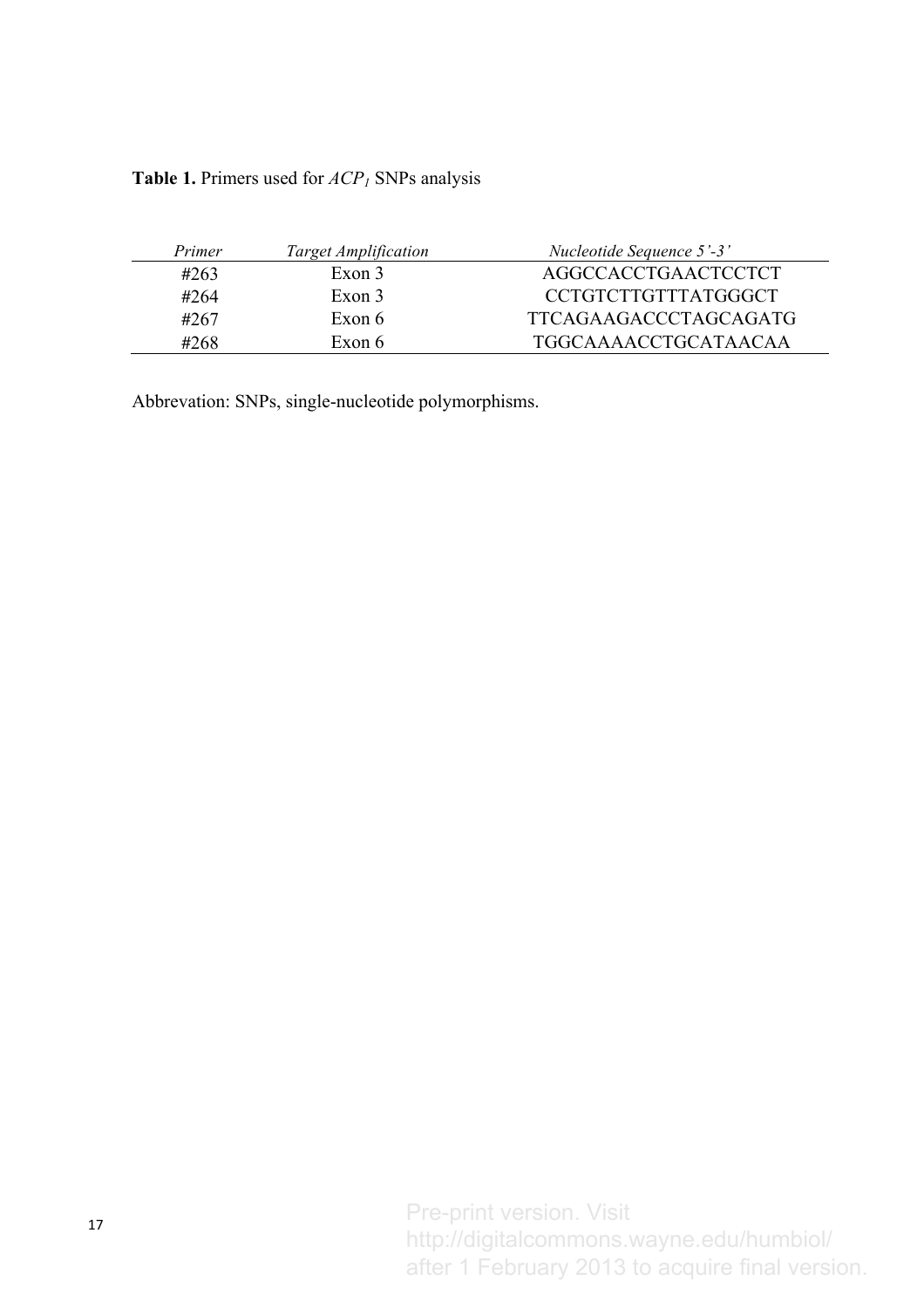**Table 1.** Primers used for *ACP1* SNPs analysis

| Primer | <b>Target Amplification</b> | Nucleotide Sequence 5'-3'    |
|--------|-----------------------------|------------------------------|
| #263   | Exon 3                      | AGGCCACCTGAACTCCTCT          |
| #264   | Exon 3                      | <b>CCTGTCTTGTTTATGGGCT</b>   |
| #267   | Exon 6                      | <b>TTCAGAAGACCCTAGCAGATG</b> |
| #268   | Exon 6                      | <b>TGGCAAAACCTGCATAACAA</b>  |

Abbrevation: SNPs, single-nucleotide polymorphisms.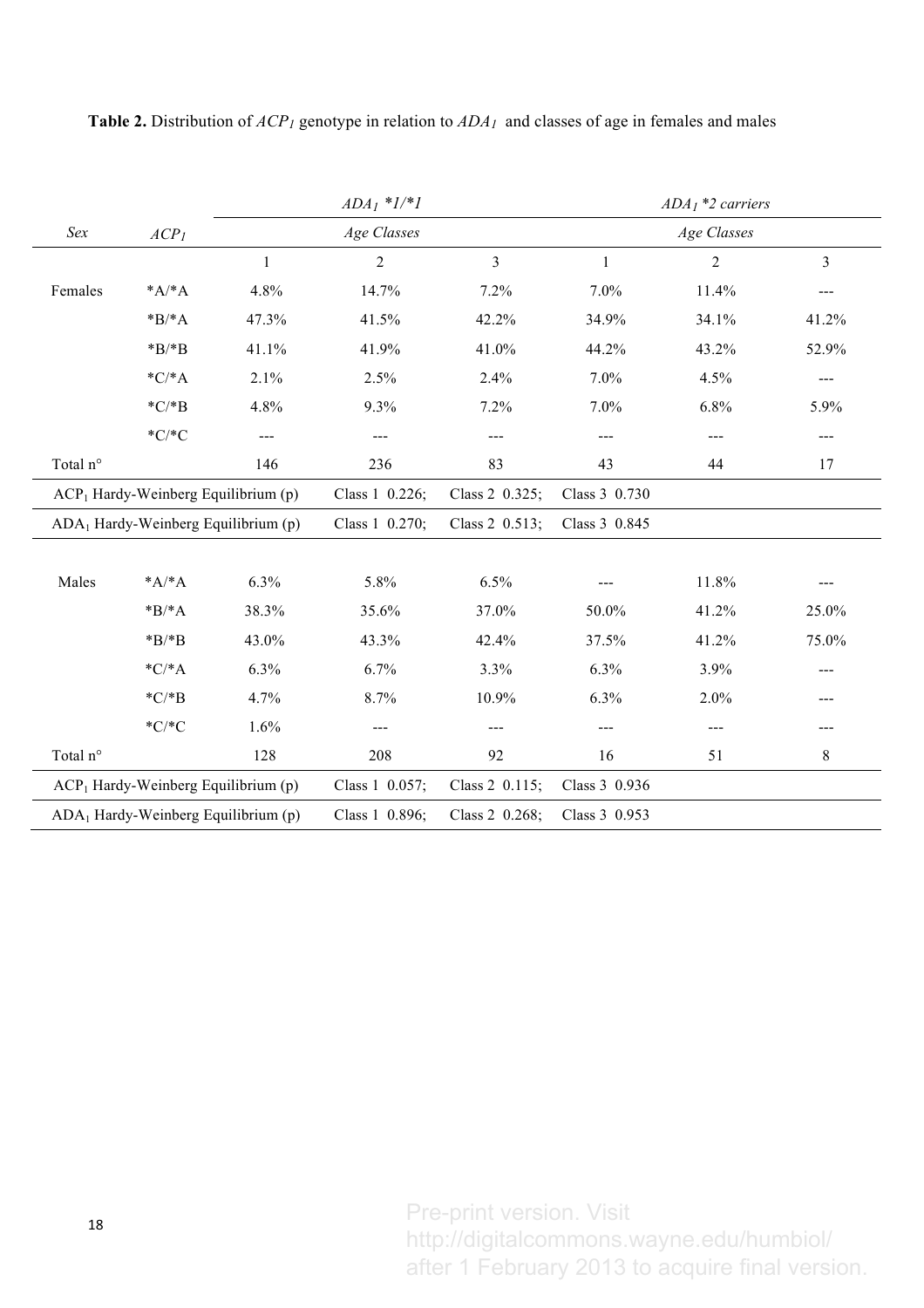|                                       |          |                | $ADA_1 * l/*l$ |               |       | $ADA1$ *2 carriers |                |
|---------------------------------------|----------|----------------|----------------|---------------|-------|--------------------|----------------|
| Sex<br>ACP <sub>1</sub>               |          |                | Age Classes    |               |       | Age Classes        |                |
|                                       |          | $\mathbf{1}$   | $\overline{2}$ | 3             | 1     | $\overline{2}$     | $\overline{3}$ |
| Females                               | $*A^*A$  | 4.8%           | 14.7%          | 7.2%          | 7.0%  | 11.4%              | ---            |
|                                       | $*B/^*A$ | 47.3%          | 41.5%          | 42.2%         | 34.9% | 34.1%              | 41.2%          |
|                                       | $*B$ /*B | 41.1%          | 41.9%          | 41.0%         | 44.2% | 43.2%              | 52.9%          |
|                                       | $*C/^*A$ | 2.1%           | 2.5%           | 2.4%          | 7.0%  | 4.5%               | ---            |
|                                       | $*C$ *B  | 4.8%           | 9.3%           | 7.2%          | 7.0%  | 6.8%               | 5.9%           |
|                                       | $*C/*C$  | ---            | $---$          | ---           | $---$ | $---$              | ---            |
| Total n°                              |          | 146            | 236            | 83            | 43    | 44                 | 17             |
| $ACP1$ Hardy-Weinberg Equilibrium (p) |          | Class 1 0.226; | Class 2 0.325; | Class 3 0.730 |       |                    |                |
| $ADA1$ Hardy-Weinberg Equilibrium (p) |          | Class 1 0.270; | Class 2 0.513; | Class 3 0.845 |       |                    |                |
|                                       |          |                |                |               |       |                    |                |
| Males                                 | $*A^*A$  | 6.3%           | 5.8%           | 6.5%          |       | 11.8%              |                |
|                                       | $*B/^*A$ | 38.3%          | 35.6%          | 37.0%         | 50.0% | 41.2%              | 25.0%          |
|                                       | $*B$ /*B | 43.0%          | 43.3%          | 42.4%         | 37.5% | 41.2%              | 75.0%          |
|                                       | $*C$ *A  | 6.3%           | 6.7%           | 3.3%          | 6.3%  | 3.9%               | ---            |
|                                       | $*C$ *B  | 4.7%           | 8.7%           | 10.9%         | 6.3%  | 2.0%               | ---            |
|                                       | $*C/*C$  | 1.6%           |                |               | ---   | ---                | ---            |
| Total n°                              |          | 128            | 208            | 92            | 16    | 51                 | 8              |
| $ACP1$ Hardy-Weinberg Equilibrium (p) |          | Class 1 0.057; | Class 2 0.115; | Class 3 0.936 |       |                    |                |
| $ADA1$ Hardy-Weinberg Equilibrium (p) |          | Class 1 0.896; | Class 2 0.268; | Class 3 0.953 |       |                    |                |

**Table 2.** Distribution of *ACP1* genotype in relation to *ADA1* and classes of age in females and males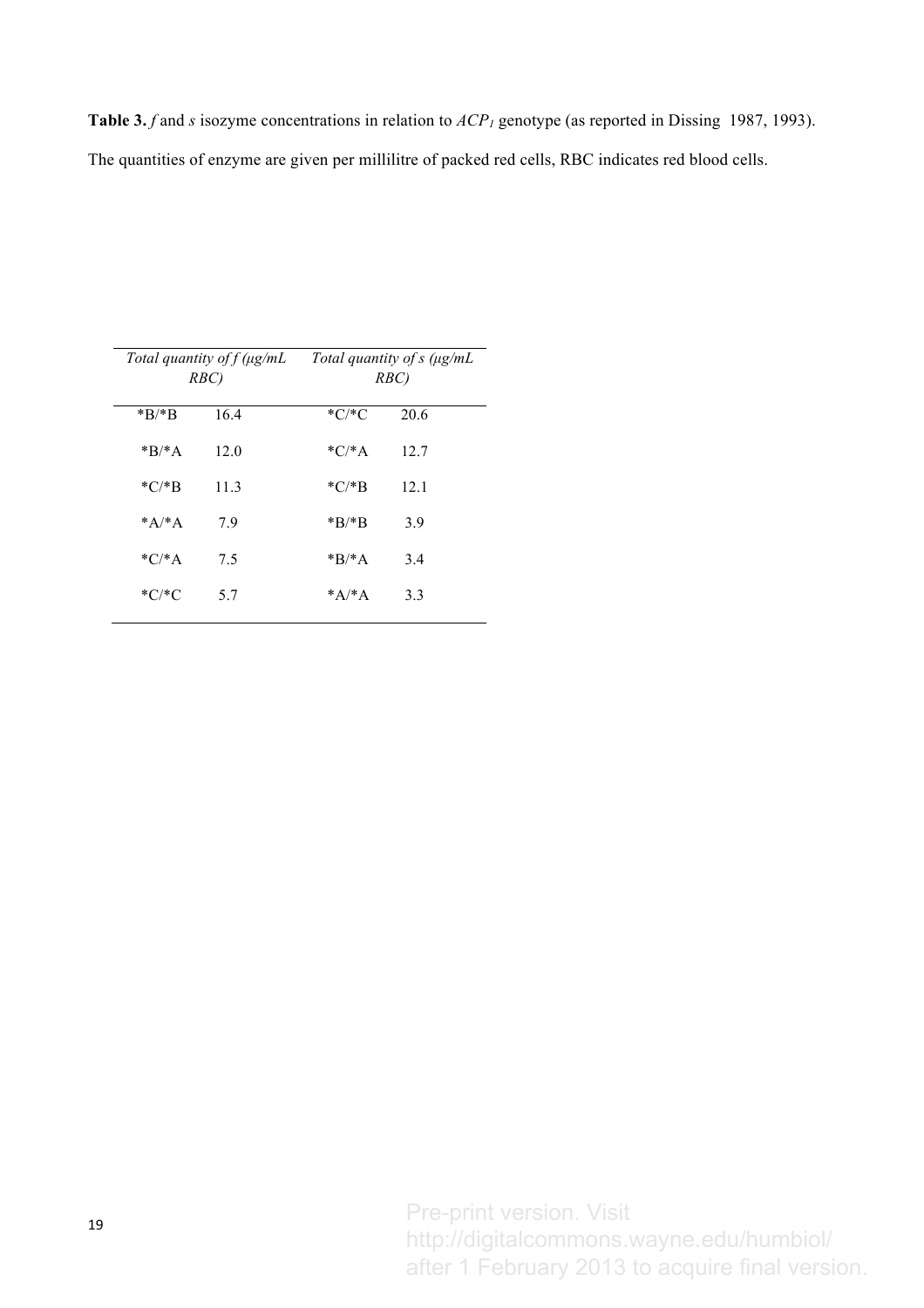**Table 3.** *f* and *s* isozyme concentrations in relation to  $ACP<sub>1</sub>$  genotype (as reported in Dissing 1987, 1993). The quantities of enzyme are given per millilitre of packed red cells, RBC indicates red blood cells.

| Total quantity of $f(\mu g/mL)$<br>RBC) |      | Total quantity of s (µg/mL<br>RBC) |      |  |
|-----------------------------------------|------|------------------------------------|------|--|
| $*B/*B$                                 | 16.4 | $^*C/^*C$                          | 20.6 |  |
| $*B/*A$                                 | 12.0 | $*C/^*A$                           | 12.7 |  |
| $*C$ *R                                 | 11.3 | $*C$ *B                            | 12.1 |  |
| $*_{A}/*_{A}$                           | 79   | $*B/*B$                            | 3.9  |  |
| $*C/^*A$                                | 7.5  | $*B/*A$                            | 3.4  |  |
| $^*C/^*C$                               | 57   | $*_{A}/*_{A}$                      | 3.3  |  |
|                                         |      |                                    |      |  |